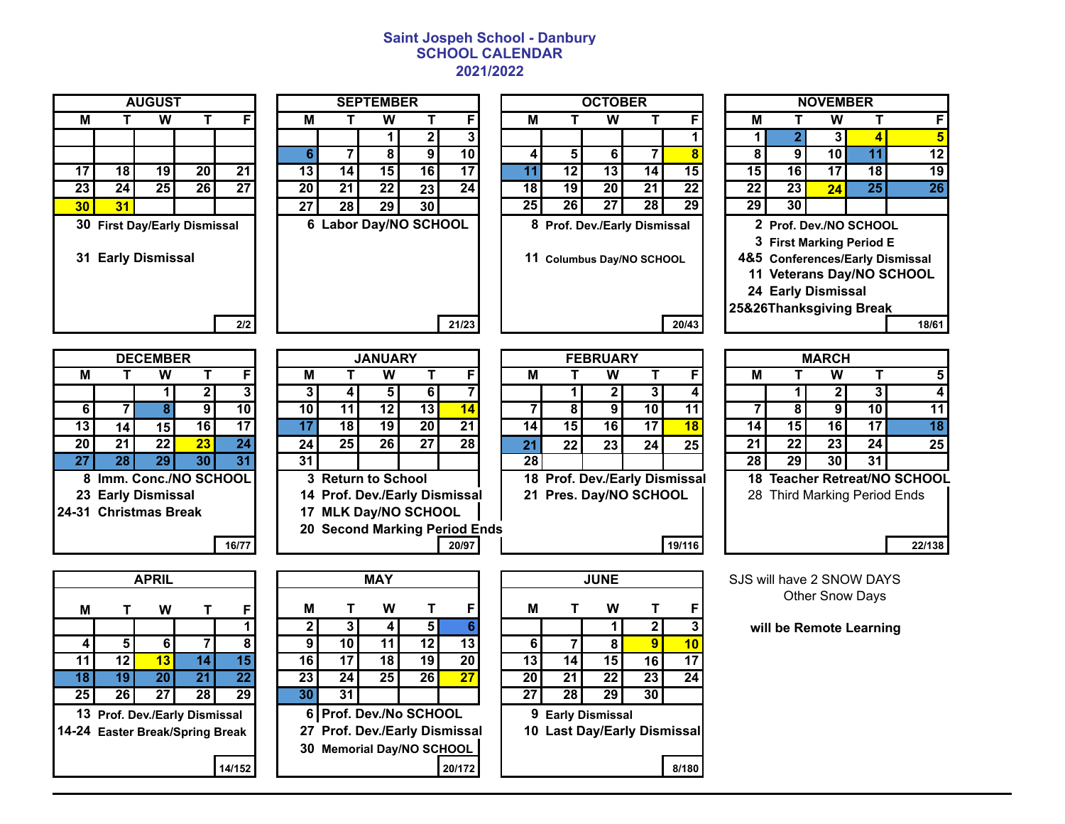## **Saint Jospeh School - Danbury SCHOOL CALENDAR 2021/2022**

| M                             | т                                                                 | $\overline{\textsf{w}}$          | т               | F               |  |  |  |  |  |  |  |  |  |
|-------------------------------|-------------------------------------------------------------------|----------------------------------|-----------------|-----------------|--|--|--|--|--|--|--|--|--|
|                               |                                                                   |                                  |                 |                 |  |  |  |  |  |  |  |  |  |
|                               |                                                                   |                                  |                 |                 |  |  |  |  |  |  |  |  |  |
| $\overline{17}$               | 18                                                                | 19                               | $\overline{20}$ | $\overline{21}$ |  |  |  |  |  |  |  |  |  |
| $\overline{23}$               | $\overline{24}$                                                   | $\overline{25}$                  | $\overline{26}$ | $\overline{27}$ |  |  |  |  |  |  |  |  |  |
| 30 <sub>2</sub>               | 31                                                                |                                  |                 |                 |  |  |  |  |  |  |  |  |  |
| 30                            |                                                                   | <b>First Day/Early Dismissal</b> |                 |                 |  |  |  |  |  |  |  |  |  |
|                               | 31 Early Dismissal                                                |                                  |                 |                 |  |  |  |  |  |  |  |  |  |
|                               |                                                                   |                                  |                 |                 |  |  |  |  |  |  |  |  |  |
|                               |                                                                   |                                  |                 | 2/2             |  |  |  |  |  |  |  |  |  |
|                               |                                                                   |                                  |                 |                 |  |  |  |  |  |  |  |  |  |
|                               |                                                                   | <b>DECEMBER</b>                  |                 |                 |  |  |  |  |  |  |  |  |  |
| $\overline{\mathsf{M}}$       | T                                                                 | $\overline{\textsf{w}}$          | Т               | F               |  |  |  |  |  |  |  |  |  |
|                               |                                                                   | 1                                | 2               | 3               |  |  |  |  |  |  |  |  |  |
| $6\overline{6}$               | 7                                                                 | $\overline{\mathbf{8}}$          | 9               | $\overline{10}$ |  |  |  |  |  |  |  |  |  |
|                               | $\overline{17}$<br>$\overline{13}$<br>$\overline{16}$<br>14<br>15 |                                  |                 |                 |  |  |  |  |  |  |  |  |  |
| $\overline{20}$               | $\overline{21}$                                                   | $\overline{22}$                  | $\overline{23}$ | $\overline{24}$ |  |  |  |  |  |  |  |  |  |
| $\overline{27}$               | 28                                                                | 29                               | $\overline{30}$ | $\overline{31}$ |  |  |  |  |  |  |  |  |  |
| 8                             |                                                                   | Imm. Conc./NO SCHOOL             |                 |                 |  |  |  |  |  |  |  |  |  |
| 23                            |                                                                   | <b>Early Dismissal</b>           |                 |                 |  |  |  |  |  |  |  |  |  |
| 24-31                         |                                                                   | <b>Christmas Break</b>           |                 |                 |  |  |  |  |  |  |  |  |  |
|                               |                                                                   |                                  |                 |                 |  |  |  |  |  |  |  |  |  |
|                               |                                                                   |                                  |                 | 16/77           |  |  |  |  |  |  |  |  |  |
|                               |                                                                   | <b>APRIL</b>                     |                 |                 |  |  |  |  |  |  |  |  |  |
|                               |                                                                   |                                  |                 |                 |  |  |  |  |  |  |  |  |  |
| M                             | Т                                                                 | W                                | Т               | F               |  |  |  |  |  |  |  |  |  |
|                               |                                                                   |                                  |                 | 1               |  |  |  |  |  |  |  |  |  |
| $\boldsymbol{4}$              | 5                                                                 | 6                                | 7               | 8               |  |  |  |  |  |  |  |  |  |
| $\overline{11}$               | $\overline{12}$                                                   | $\overline{13}$                  | $\overline{14}$ | $\overline{15}$ |  |  |  |  |  |  |  |  |  |
| $\overline{18}$               | $\overline{19}$                                                   | $\overline{20}$                  | $\overline{21}$ | $\overline{22}$ |  |  |  |  |  |  |  |  |  |
| 25                            | $\overline{26}$                                                   | $\overline{27}$                  | 28              | $\overline{29}$ |  |  |  |  |  |  |  |  |  |
| 13 Prof. Dev./Early Dismissal |                                                                   |                                  |                 |                 |  |  |  |  |  |  |  |  |  |
|                               | 24 Easter Drask Corina Drask                                      |                                  |                 |                 |  |  |  |  |  |  |  |  |  |

|                  |                       | <b>SEPTEMBER</b> |              |                 |  |  |  |  |  |  |  |  |
|------------------|-----------------------|------------------|--------------|-----------------|--|--|--|--|--|--|--|--|
| M<br>F<br>W<br>т |                       |                  |              |                 |  |  |  |  |  |  |  |  |
|                  |                       |                  | $\mathbf{2}$ | 3               |  |  |  |  |  |  |  |  |
| 6                | 7                     | 8                | 9            | $\overline{10}$ |  |  |  |  |  |  |  |  |
| 13               | 14                    | 15               | 16           | 17              |  |  |  |  |  |  |  |  |
| $\overline{20}$  | 21                    | 22               | 23           | $\overline{24}$ |  |  |  |  |  |  |  |  |
| 27               | 28                    | 29               | 30           |                 |  |  |  |  |  |  |  |  |
|                  | 6 Labor Day/NO SCHOOL |                  |              |                 |  |  |  |  |  |  |  |  |
| 21/23            |                       |                  |              |                 |  |  |  |  |  |  |  |  |

|                 |                                                    | <b>AUGUST</b> |      |                 |                 |                       | <b>SEPTEMBER</b> |                 |       |                 |                                                           | <b>OCTOBER</b>  |    | <b>NOVEMBER</b> |    |    |                                                                                                     |                 |                                                                     |  |
|-----------------|----------------------------------------------------|---------------|------|-----------------|-----------------|-----------------------|------------------|-----------------|-------|-----------------|-----------------------------------------------------------|-----------------|----|-----------------|----|----|-----------------------------------------------------------------------------------------------------|-----------------|---------------------------------------------------------------------|--|
| M               |                                                    | w             |      |                 | м               |                       | w                |                 |       | м               |                                                           |                 |    | F               | м  |    | w                                                                                                   |                 |                                                                     |  |
|                 |                                                    |               |      |                 |                 |                       |                  |                 |       |                 |                                                           |                 |    |                 |    |    |                                                                                                     |                 |                                                                     |  |
|                 |                                                    |               |      |                 |                 |                       | 8                | ا 9             | 10    |                 |                                                           |                 |    | 8               |    |    | 10                                                                                                  | 11              |                                                                     |  |
| 17 <sup>1</sup> | 18 <sup>1</sup>                                    | 19            | 20   | 21              | 13              | 14 I                  | 15 <sup>1</sup>  | 16 <sup>1</sup> | 17    |                 | 12 <sub>l</sub>                                           | 13 <sub>1</sub> | 14 | 15              | 15 | 16 | 17                                                                                                  | 18              |                                                                     |  |
| 23              | 24 <sub>l</sub>                                    | 25            | 26 I | $\overline{27}$ | 20 <sub>l</sub> | 21                    | 22 <sub>1</sub>  | 23 <sub>1</sub> | 24    | 18 <sup>1</sup> | 19 <sub>l</sub>                                           | 20              | 21 | $2\overline{2}$ | 22 | 23 | 24                                                                                                  | 25 <sub>1</sub> |                                                                     |  |
| 30 <sub>2</sub> | 31                                                 |               |      |                 | 27              | 28                    | 29               | 30 <sub>1</sub> |       | 25              | 26                                                        | 27              | 28 | 29              | 29 | 30 |                                                                                                     |                 |                                                                     |  |
|                 | 30 First Day/Early Dismissal<br>31 Early Dismissal |               |      | 2/2             |                 | 6 Labor Day/NO SCHOOL |                  |                 | 21/23 |                 | 8 Prof. Dev./Early Dismissal<br>11 Columbus Day/NO SCHOOL |                 |    | 20/43           |    |    | 2 Prof. Dev./NO SCHOOL<br>3 First Marking Period E<br>24 Early Dismissal<br>25&26Thanksgiving Break |                 | 4&5 Conferences/Early Dismissal<br>11 Veterans Day/NO SCHOOL<br>18/ |  |

|                 |                 | <b>OCTOBER</b><br><b>AUGUST</b><br><b>SEPTEMBER</b> |                 |     |  |                 |    |                 |                       |                 |                 | <b>NOVEMBER</b> |                 |                                                                |                 |  |                         |                 |                                                                                 |    |                                                              |
|-----------------|-----------------|-----------------------------------------------------|-----------------|-----|--|-----------------|----|-----------------|-----------------------|-----------------|-----------------|-----------------|-----------------|----------------------------------------------------------------|-----------------|--|-------------------------|-----------------|---------------------------------------------------------------------------------|----|--------------------------------------------------------------|
| M               |                 | w                                                   |                 |     |  | M               |    | w               |                       |                 | M               |                 | w               |                                                                |                 |  | M                       |                 | W                                                                               |    |                                                              |
|                 |                 |                                                     |                 |     |  |                 |    |                 |                       | 3               |                 |                 |                 |                                                                |                 |  |                         |                 |                                                                                 |    | 5                                                            |
|                 |                 |                                                     |                 |     |  |                 |    |                 | 9 <sup>1</sup>        | $\overline{10}$ |                 |                 | 6               |                                                                | 8               |  | 8                       | 9               | 10 <sub>1</sub>                                                                 |    | 12                                                           |
| 17 <sup>1</sup> | 18 <sup>1</sup> | 19                                                  | 20 <sup>1</sup> | 21  |  | 13 <sub>1</sub> | 14 | 15 <sub>l</sub> | 16                    | 17              |                 | $12 \,$         | 13              | 14 <sup>1</sup>                                                | 15 <sup>1</sup> |  | $\overline{15}$         | 16              | 17                                                                              | 18 | $\overline{19}$                                              |
| 23              | 24 <sub>1</sub> | 25                                                  | 26              | 27  |  | 20 <sub>1</sub> | 21 | 22              | 23                    | $\overline{24}$ | 18              | 19              | 20 <sub>l</sub> | 21                                                             | 22              |  | 22                      | $\overline{23}$ | 24                                                                              | 25 | 26                                                           |
| 30 <sub>2</sub> | 31              |                                                     |                 |     |  | 27              | 28 | 29 <sub>1</sub> | 30                    |                 | 25 <sub>1</sub> | 26              | 27              | 28                                                             | 29              |  | 29                      | 30 <sub>1</sub> |                                                                                 |    |                                                              |
|                 |                 | 30 First Day/Early Dismissal<br>31 Early Dismissal  |                 |     |  |                 |    |                 | 6 Labor Day/NO SCHOOL |                 | 8               |                 |                 | <b>Prof. Dev./Early Dismissal</b><br>11 Columbus Day/NO SCHOOL |                 |  | 25&26Thanksgiving Break |                 | 2 Prof. Dev./NO SCHOOL<br>3 First Marking Period E<br><b>24 Early Dismissal</b> |    | 4&5 Conferences/Early Dismissal<br>11 Veterans Day/NO SCHOOL |
|                 |                 |                                                     |                 | 2/2 |  |                 |    |                 |                       | 21/23           |                 |                 |                 |                                                                | 20/43           |  |                         |                 |                                                                                 |    | 18/61                                                        |

|                 |                       | <b>DECEMBER</b> |                 |                 |  |                 |                 | <b>JANUARY</b>           |                 |                               |    |                     | <b>FEBRUARY</b> |                 |                               |                         |                 | <b>MARCH</b>                 |                 |                                  |
|-----------------|-----------------------|-----------------|-----------------|-----------------|--|-----------------|-----------------|--------------------------|-----------------|-------------------------------|----|---------------------|-----------------|-----------------|-------------------------------|-------------------------|-----------------|------------------------------|-----------------|----------------------------------|
| м               |                       | W               |                 |                 |  | М               |                 | W                        |                 |                               | М  |                     | W               |                 |                               | M                       |                 | w                            |                 |                                  |
|                 |                       |                 |                 |                 |  |                 |                 |                          | ь               |                               |    |                     |                 |                 |                               |                         |                 |                              |                 |                                  |
| 6               |                       |                 | 9               | 10 <sub>l</sub> |  | 10 <sup>1</sup> | 11              | 12 <sub>1</sub>          | 13              | 14                            |    | 8                   | 9 <sub>l</sub>  | 10 <sub>1</sub> | 11                            |                         | 8               | 9                            | 10              | 11                               |
| 13 <sup>1</sup> | 14                    | 15 <sup>1</sup> | 16              | $\overline{17}$ |  | 17              | 18              | 19                       | $\overline{20}$ | $\overline{21}$               | 14 | 15                  | 16              | 17              | 18                            | 14                      | 15 <sub>l</sub> | 16 I                         | $\overline{17}$ | 18                               |
| 20 <sub>1</sub> | 21                    | 22              | 23 <sub>1</sub> | 24              |  | 24 <sub>1</sub> | 25 <sub>1</sub> | 26 <sub>1</sub>          | $\overline{27}$ | $\overline{28}$               | 21 | 22                  | 23              | 24              | 25 <sub>1</sub>               | 21                      | 22              | 23                           | 24              | 25                               |
| 27 <sub>l</sub> | 28                    | 29              | 30 <sub>1</sub> | 31              |  | 31              |                 |                          |                 |                               | 28 |                     |                 |                 |                               | 28                      | 29              | 30 <sub>1</sub>              | 31              |                                  |
| 8               | Imm. Conc./NO SCHOOL  |                 |                 |                 |  |                 |                 | 3 Return to School       |                 |                               |    |                     |                 |                 | 18 Prof. Dev./Early Dismissal | 18                      |                 |                              |                 | <b>Teacher Retreat/NO SCHOOL</b> |
|                 | 23 Early Dismissal    |                 |                 |                 |  |                 |                 |                          |                 | 14 Prof. Dev./Early Dismissal | 21 | Pres. Day/NO SCHOOL |                 |                 |                               |                         |                 | 28 Third Marking Period Ends |                 |                                  |
|                 | 24-31 Christmas Break |                 |                 |                 |  |                 |                 | <b>MLK Day/NO SCHOOL</b> |                 |                               |    |                     |                 |                 |                               |                         |                 |                              |                 |                                  |
|                 |                       |                 |                 |                 |  |                 |                 |                          |                 | 20 Second Marking Period Ends |    |                     |                 |                 |                               |                         |                 |                              |                 |                                  |
|                 |                       |                 |                 | 16/77           |  |                 |                 |                          |                 | 20/97                         |    |                     |                 |                 | 19/116                        |                         |                 |                              |                 | 22/138                           |
|                 |                       |                 |                 |                 |  |                 |                 |                          |                 |                               |    |                     |                 |                 |                               |                         |                 |                              |                 |                                  |
|                 |                       | <b>APRIL</b>    |                 |                 |  |                 |                 | <b>MAY</b>               |                 |                               |    |                     | <b>JUNE</b>     |                 |                               |                         |                 | SJS will have 2 SNOW DAYS    |                 |                                  |
|                 |                       |                 |                 |                 |  | Μ               |                 | W                        |                 |                               | М  |                     | W               |                 |                               |                         |                 | <b>Other Snow Days</b>       |                 |                                  |
| м               |                       | W               |                 |                 |  |                 |                 |                          |                 |                               |    |                     |                 |                 |                               |                         |                 |                              |                 |                                  |
|                 |                       |                 |                 |                 |  | $\mathbf{2}$    |                 | 41                       | 5 I             | 6                             |    |                     |                 |                 |                               | will be Remote Learning |                 |                              |                 |                                  |

| <b>FEBRUARY</b> |    |             |    |                                                      |  |  |  |  |  |  |  |  |
|-----------------|----|-------------|----|------------------------------------------------------|--|--|--|--|--|--|--|--|
| М               |    | W           | т  |                                                      |  |  |  |  |  |  |  |  |
|                 |    | $\mathbf 2$ | 3  |                                                      |  |  |  |  |  |  |  |  |
| 7               | 8  | 9           | 10 |                                                      |  |  |  |  |  |  |  |  |
| 14              | 15 | 16          | 17 |                                                      |  |  |  |  |  |  |  |  |
| 21              | 22 | 23          | 24 |                                                      |  |  |  |  |  |  |  |  |
| 28              |    |             |    |                                                      |  |  |  |  |  |  |  |  |
|                 |    |             |    |                                                      |  |  |  |  |  |  |  |  |
|                 |    |             |    |                                                      |  |  |  |  |  |  |  |  |
|                 |    |             |    |                                                      |  |  |  |  |  |  |  |  |
| :nds            |    |             |    |                                                      |  |  |  |  |  |  |  |  |
|                 |    |             |    |                                                      |  |  |  |  |  |  |  |  |
|                 |    |             |    | 18 Prof. Dev./Early Dismis<br>21 Pres. Day/NO SCHOOI |  |  |  |  |  |  |  |  |

|    | <b>MARCH</b>                 |              |    |                                  |  |  |  |  |  |  |  |  |  |  |
|----|------------------------------|--------------|----|----------------------------------|--|--|--|--|--|--|--|--|--|--|
| м  | т                            |              |    |                                  |  |  |  |  |  |  |  |  |  |  |
|    |                              | $\mathbf{2}$ | 3  |                                  |  |  |  |  |  |  |  |  |  |  |
|    | 8                            | 9            | 10 |                                  |  |  |  |  |  |  |  |  |  |  |
| 14 | 15<br>16<br>17<br>18         |              |    |                                  |  |  |  |  |  |  |  |  |  |  |
| 21 | 22                           | 23           | 24 | 25                               |  |  |  |  |  |  |  |  |  |  |
| 28 | 29                           | 30           | 31 |                                  |  |  |  |  |  |  |  |  |  |  |
| 18 |                              |              |    | <b>Teacher Retreat/NO SCHOOL</b> |  |  |  |  |  |  |  |  |  |  |
|    | 28 Third Marking Period Ends |              |    |                                  |  |  |  |  |  |  |  |  |  |  |

|    | .               | . . |                                 | .  | . .             | . .  | . .                           | . .             | -- | . . | . .                   | . . | . . |
|----|-----------------|-----|---------------------------------|----|-----------------|------|-------------------------------|-----------------|----|-----|-----------------------|-----|-----|
| 18 | 19.             | 20  | 21                              | 22 | 23 <sub>1</sub> | 24 I | 25                            | 26 <sub>l</sub> | 27 | 20  | 211                   | 22  | 23  |
| 25 | 26 <sub>1</sub> | 27  | 28 I                            | 29 | 30              | 31 I |                               |                 |    | 27  | 28                    | 29  | 30  |
|    |                 |     | 13 Prof. Dev./Early Dismissal   |    |                 |      | 6 Prof. Dev./No SCHOOL        |                 |    |     | 9 Early Dismissal     |     |     |
|    |                 |     | 14-24 Easter Break/Spring Break |    |                 |      | 27 Prof. Dev./Early Dismissal |                 |    |     | 10 Last Day/Early Dis |     |     |
|    |                 |     |                                 |    |                 |      | 30 Memorial Day/NO SCHOOL     |                 |    |     |                       |     |     |
|    |                 |     |                                 |    |                 |      |                               |                 |    |     |                       |     |     |

|                |     | <b>APRIL</b>    |                               |                                        |                 |                                                                                      | <b>MAY</b>      |                 |        |                 |                   | <b>JUNE</b> |                             |       | SJS will have 2 SNOW DAYS |
|----------------|-----|-----------------|-------------------------------|----------------------------------------|-----------------|--------------------------------------------------------------------------------------|-----------------|-----------------|--------|-----------------|-------------------|-------------|-----------------------------|-------|---------------------------|
| M              |     | W               |                               |                                        | м               |                                                                                      | w               |                 |        | М               |                   | W           |                             |       | <b>Other Snow Days</b>    |
|                |     |                 |                               |                                        |                 |                                                                                      | 4               | 5.              |        |                 |                   |             |                             |       | will be Remote Learning   |
| $\overline{4}$ |     | 6.              |                               |                                        |                 | 10                                                                                   | 11              | 12 <sub>l</sub> | 13     | 6               |                   |             | 9                           | 10    |                           |
| 11             | 12  | 13 <sup>1</sup> |                               | 15                                     | 16 I            | 17                                                                                   | 18              | 19 <sub>l</sub> | 20     | 13 <sub>l</sub> | 14                | 15          | 16                          | 17    |                           |
| 18             | 19. | 20              | 21                            | 22                                     | 23 <sub>1</sub> | 24                                                                                   | 25 <sub>1</sub> | 26 <sub>l</sub> | 27     | 20 <sub>1</sub> | 21                | 22          | 23 <sub>1</sub>             | 24    |                           |
| $25 \mid$      | 26  | 27              | 28 <sub>l</sub>               | $\overline{29}$                        | 30              | 31                                                                                   |                 |                 |        | 27              | 28                | 29          | 30 <sup>1</sup>             |       |                           |
|                |     |                 | 13 Prof. Dev./Early Dismissal | 24 Easter Break/Spring Break<br>14/152 |                 | 6 Prof. Dev./No SCHOOL<br>27 Prof. Dev./Early Dismissal<br>30 Memorial Day/NO SCHOOL |                 |                 | 20/172 |                 | 9 Early Dismissal |             | 10 Last Day/Early Dismissal | 8/180 |                           |